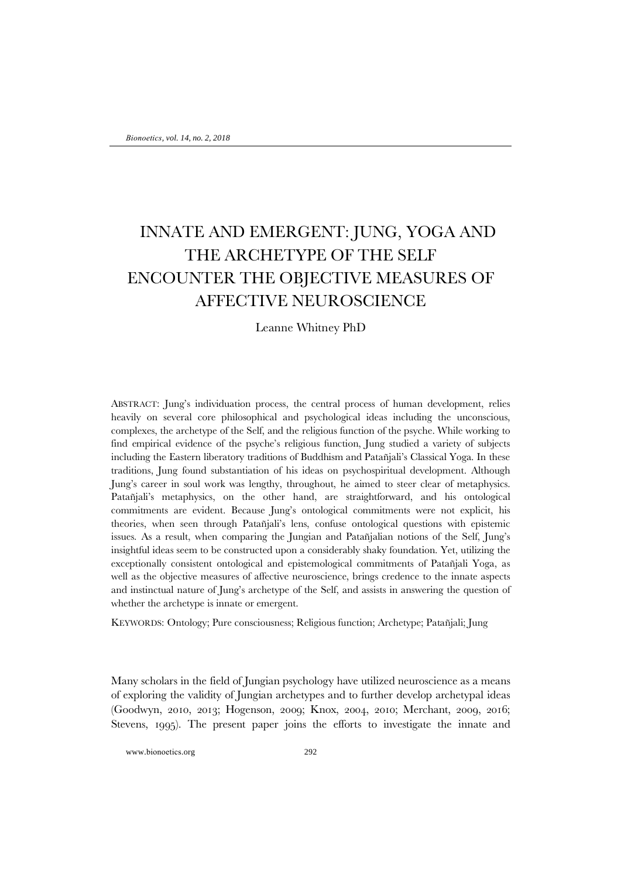## INNATE AND EMERGENT: JUNG, YOGA AND THE ARCHETYPE OF THE SELF ENCOUNTER THE OBJECTIVE MEASURES OF AFFECTIVE NEUROSCIENCE

## Leanne Whitney PhD

ABSTRACT: Jung's individuation process, the central process of human development, relies heavily on several core philosophical and psychological ideas including the unconscious, complexes, the archetype of the Self, and the religious function of the psyche. While working to find empirical evidence of the psyche's religious function, Jung studied a variety of subjects including the Eastern liberatory traditions of Buddhism and Patañjali's Classical Yoga. In these traditions, Jung found substantiation of his ideas on psychospiritual development. Although Jung's career in soul work was lengthy, throughout, he aimed to steer clear of metaphysics. Patañjali's metaphysics, on the other hand, are straightforward, and his ontological commitments are evident. Because Jung's ontological commitments were not explicit, his theories, when seen through Patañjali's lens, confuse ontological questions with epistemic issues. As a result, when comparing the Jungian and Patañjalian notions of the Self, Jung's insightful ideas seem to be constructed upon a considerably shaky foundation. Yet, utilizing the exceptionally consistent ontological and epistemological commitments of Patañjali Yoga, as well as the objective measures of affective neuroscience, brings credence to the innate aspects and instinctual nature of Jung's archetype of the Self, and assists in answering the question of whether the archetype is innate or emergent.

KEYWORDS: Ontology; Pure consciousness; Religious function; Archetype; Patañjali; Jung

Many scholars in the field of Jungian psychology have utilized neuroscience as a means of exploring the validity of Jungian archetypes and to further develop archetypal ideas (Goodwyn, 2010, 2013; Hogenson, 2009; Knox, 2004, 2010; Merchant, 2009, 2016; Stevens, 1995). The present paper joins the efforts to investigate the innate and

www.bionoetics.org 292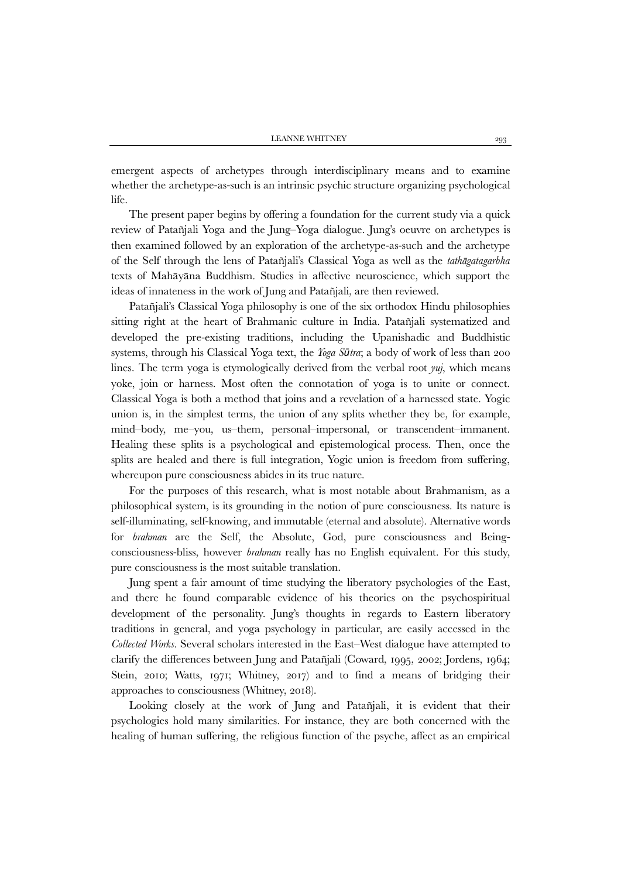emergent aspects of archetypes through interdisciplinary means and to examine whether the archetype-as-such is an intrinsic psychic structure organizing psychological life.

The present paper begins by offering a foundation for the current study via a quick review of Patañjali Yoga and the Jung–Yoga dialogue. Jung's oeuvre on archetypes is then examined followed by an exploration of the archetype-as-such and the archetype of the Self through the lens of Patañjali's Classical Yoga as well as the *tathāgatagarbha* texts of Mahāyāna Buddhism. Studies in affective neuroscience, which support the ideas of innateness in the work of Jung and Patañjali, are then reviewed.

Patañjali's Classical Yoga philosophy is one of the six orthodox Hindu philosophies sitting right at the heart of Brahmanic culture in India. Patañjali systematized and developed the pre-existing traditions, including the Upanishadic and Buddhistic systems, through his Classical Yoga text, the *Yoga Sūtra*; a body of work of less than 200 lines. The term yoga is etymologically derived from the verbal root *yuj*, which means yoke, join or harness. Most often the connotation of yoga is to unite or connect. Classical Yoga is both a method that joins and a revelation of a harnessed state. Yogic union is, in the simplest terms, the union of any splits whether they be, for example, mind–body, me–you, us–them, personal–impersonal, or transcendent–immanent. Healing these splits is a psychological and epistemological process. Then, once the splits are healed and there is full integration, Yogic union is freedom from suffering, whereupon pure consciousness abides in its true nature.

For the purposes of this research, what is most notable about Brahmanism, as a philosophical system, is its grounding in the notion of pure consciousness. Its nature is self-illuminating, self-knowing, and immutable (eternal and absolute). Alternative words for *brahman* are the Self, the Absolute, God, pure consciousness and Beingconsciousness-bliss, however *brahman* really has no English equivalent. For this study, pure consciousness is the most suitable translation.

Jung spent a fair amount of time studying the liberatory psychologies of the East, and there he found comparable evidence of his theories on the psychospiritual development of the personality. Jung's thoughts in regards to Eastern liberatory traditions in general, and yoga psychology in particular, are easily accessed in the *Collected Works*. Several scholars interested in the East–West dialogue have attempted to clarify the differences between Jung and Patañjali (Coward, 1995, 2002; Jordens, 1964; Stein, 2010; Watts, 1971; Whitney, 2017) and to find a means of bridging their approaches to consciousness (Whitney, 2018).

Looking closely at the work of Jung and Patañjali, it is evident that their psychologies hold many similarities. For instance, they are both concerned with the healing of human suffering, the religious function of the psyche, affect as an empirical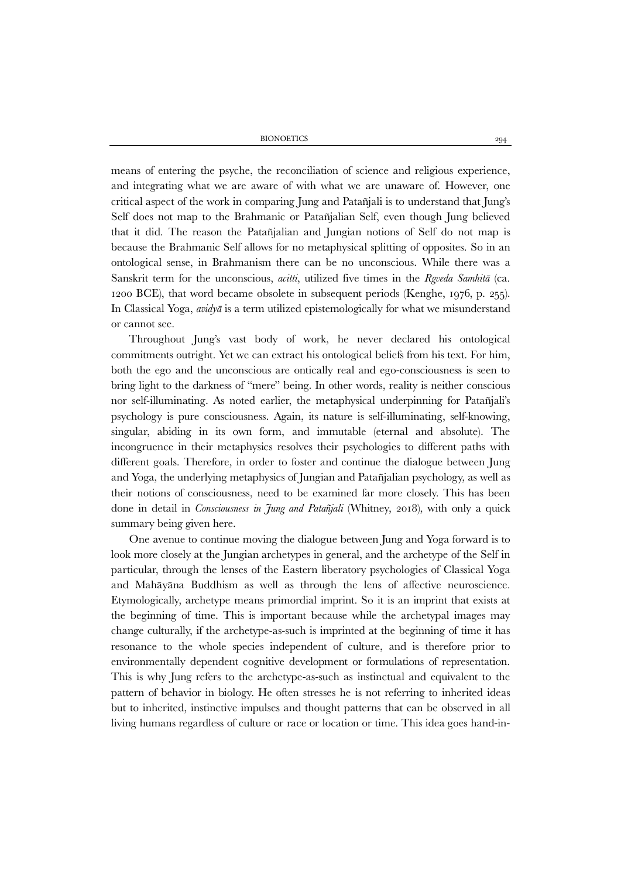means of entering the psyche, the reconciliation of science and religious experience, and integrating what we are aware of with what we are unaware of. However, one critical aspect of the work in comparing Jung and Patañjali is to understand that Jung's Self does not map to the Brahmanic or Patañjalian Self, even though Jung believed that it did. The reason the Patañjalian and Jungian notions of Self do not map is because the Brahmanic Self allows for no metaphysical splitting of opposites. So in an ontological sense, in Brahmanism there can be no unconscious. While there was a Sanskrit term for the unconscious, *acitti*, utilized five times in the *Rgveda Samhitā* (ca. 1200 BCE), that word became obsolete in subsequent periods (Kenghe, 1976, p. 255). In Classical Yoga, *avidyā* is a term utilized epistemologically for what we misunderstand or cannot see.

Throughout Jung's vast body of work, he never declared his ontological commitments outright. Yet we can extract his ontological beliefs from his text. For him, both the ego and the unconscious are ontically real and ego-consciousness is seen to bring light to the darkness of "mere" being. In other words, reality is neither conscious nor self-illuminating. As noted earlier, the metaphysical underpinning for Patañjali's psychology is pure consciousness. Again, its nature is self-illuminating, self-knowing, singular, abiding in its own form, and immutable (eternal and absolute). The incongruence in their metaphysics resolves their psychologies to different paths with different goals. Therefore, in order to foster and continue the dialogue between Jung and Yoga, the underlying metaphysics of Jungian and Patañjalian psychology, as well as their notions of consciousness, need to be examined far more closely. This has been done in detail in *Consciousness in Jung and Patañjali* (Whitney, 2018), with only a quick summary being given here.

One avenue to continue moving the dialogue between Jung and Yoga forward is to look more closely at the Jungian archetypes in general, and the archetype of the Self in particular, through the lenses of the Eastern liberatory psychologies of Classical Yoga and Mahāyāna Buddhism as well as through the lens of affective neuroscience. Etymologically, archetype means primordial imprint. So it is an imprint that exists at the beginning of time. This is important because while the archetypal images may change culturally, if the archetype-as-such is imprinted at the beginning of time it has resonance to the whole species independent of culture, and is therefore prior to environmentally dependent cognitive development or formulations of representation. This is why Jung refers to the archetype-as-such as instinctual and equivalent to the pattern of behavior in biology. He often stresses he is not referring to inherited ideas but to inherited, instinctive impulses and thought patterns that can be observed in all living humans regardless of culture or race or location or time. This idea goes hand-in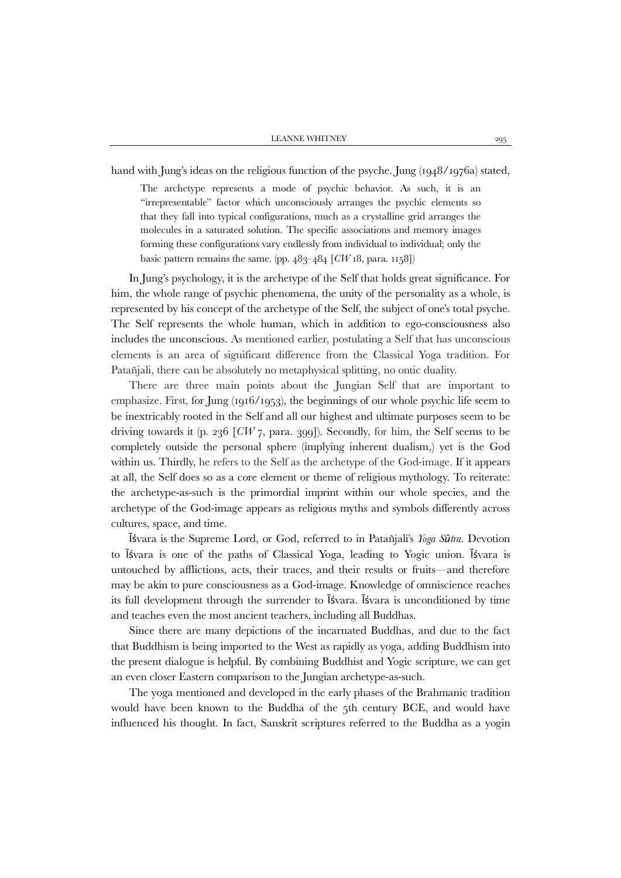hand with Jung's ideas on the religious function of the psyche. Jung (1948/1976a) stated,

The archetype represents a mode of psychic behavior. As such, it is an "irrepresentable" factor which unconsciously arranges the psychic elements so that they fall into typical configurations, much as a crystalline grid arranges the molecules in a saturated solution. The specific associations and memory images forming these configurations vary endlessly from individual to individual; only the basic pattern remains the same. (pp. 483–484 [*CW* 18, para. 1158])

In Jung's psychology, it is the archetype of the Self that holds great significance. For him, the whole range of psychic phenomena, the unity of the personality as a whole, is represented by his concept of the archetype of the Self, the subject of one's total psyche. The Self represents the whole human, which in addition to ego-consciousness also includes the unconscious. As mentioned earlier, postulating a Self that has unconscious elements is an area of significant difference from the Classical Yoga tradition. For Patañjali, there can be absolutely no metaphysical splitting, no ontic duality.

There are three main points about the Jungian Self that are important to emphasize. First, for Jung  $(1916/1953)$ , the beginnings of our whole psychic life seem to be inextricably rooted in the Self and all our highest and ultimate purposes seem to be driving towards it (p. 236 [*CW* 7, para. 399]). Secondly, for him, the Self seems to be completely outside the personal sphere (implying inherent dualism,) yet is the God within us. Thirdly, he refers to the Self as the archetype of the God-image. If it appears at all, the Self does so as a core element or theme of religious mythology. To reiterate: the archetype-as-such is the primordial imprint within our whole species, and the archetype of the God-image appears as religious myths and symbols differently across cultures, space, and time.

Īśvara is the Supreme Lord, or God, referred to in Patañjali's *Yoga Sūtra*. Devotion to Īśvara is one of the paths of Classical Yoga, leading to Yogic union. Īśvara is untouched by afflictions, acts, their traces, and their results or fruits—and therefore may be akin to pure consciousness as a God-image. Knowledge of omniscience reaches its full development through the surrender to Īśvara. Īśvara is unconditioned by time and teaches even the most ancient teachers, including all Buddhas.

Since there are many depictions of the incarnated Buddhas, and due to the fact that Buddhism is being imported to the West as rapidly as yoga, adding Buddhism into the present dialogue is helpful. By combining Buddhist and Yogic scripture, we can get an even closer Eastern comparison to the Jungian archetype-as-such.

The yoga mentioned and developed in the early phases of the Brahmanic tradition would have been known to the Buddha of the 5th century BCE, and would have influenced his thought. In fact, Sanskrit scriptures referred to the Buddha as a yogin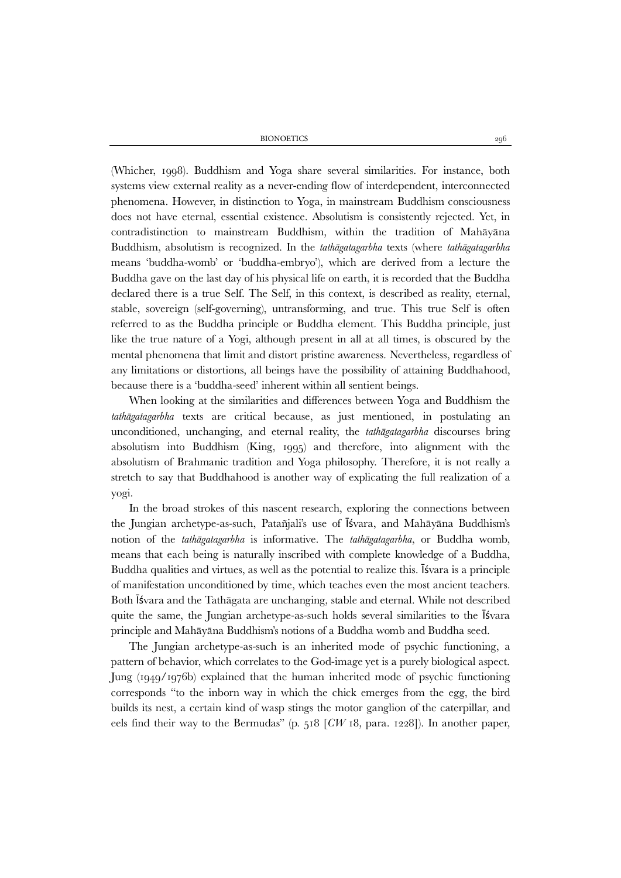(Whicher, 1998). Buddhism and Yoga share several similarities. For instance, both systems view external reality as a never-ending flow of interdependent, interconnected phenomena. However, in distinction to Yoga, in mainstream Buddhism consciousness does not have eternal, essential existence. Absolutism is consistently rejected. Yet, in contradistinction to mainstream Buddhism, within the tradition of Mahāyāna Buddhism, absolutism is recognized. In the *tathāgatagarbha* texts (where *tathāgatagarbha* means 'buddha-womb' or 'buddha-embryo'), which are derived from a lecture the Buddha gave on the last day of his physical life on earth, it is recorded that the Buddha declared there is a true Self. The Self, in this context, is described as reality, eternal, stable, sovereign (self-governing), untransforming, and true. This true Self is often referred to as the Buddha principle or Buddha element. This Buddha principle, just like the true nature of a Yogi, although present in all at all times, is obscured by the mental phenomena that limit and distort pristine awareness. Nevertheless, regardless of any limitations or distortions, all beings have the possibility of attaining Buddhahood, because there is a 'buddha-seed' inherent within all sentient beings.

When looking at the similarities and differences between Yoga and Buddhism the *tathāgatagarbha* texts are critical because, as just mentioned, in postulating an unconditioned, unchanging, and eternal reality, the *tathāgatagarbha* discourses bring absolutism into Buddhism (King, 1995) and therefore, into alignment with the absolutism of Brahmanic tradition and Yoga philosophy. Therefore, it is not really a stretch to say that Buddhahood is another way of explicating the full realization of a yogi.

In the broad strokes of this nascent research, exploring the connections between the Jungian archetype-as-such, Patañjali's use of Īśvara, and Mahāyāna Buddhism's notion of the *tathāgatagarbha* is informative. The *tathāgatagarbha*, or Buddha womb, means that each being is naturally inscribed with complete knowledge of a Buddha, Buddha qualities and virtues, as well as the potential to realize this. Īśvara is a principle of manifestation unconditioned by time, which teaches even the most ancient teachers. Both Īśvara and the Tathāgata are unchanging, stable and eternal. While not described quite the same, the Jungian archetype-as-such holds several similarities to the Īśvara principle and Mahāyāna Buddhism's notions of a Buddha womb and Buddha seed.

The Jungian archetype-as-such is an inherited mode of psychic functioning, a pattern of behavior, which correlates to the God-image yet is a purely biological aspect. Jung (1949/1976b) explained that the human inherited mode of psychic functioning corresponds "to the inborn way in which the chick emerges from the egg, the bird builds its nest, a certain kind of wasp stings the motor ganglion of the caterpillar, and eels find their way to the Bermudas" (p. 518 [*CW* 18, para. 1228]). In another paper,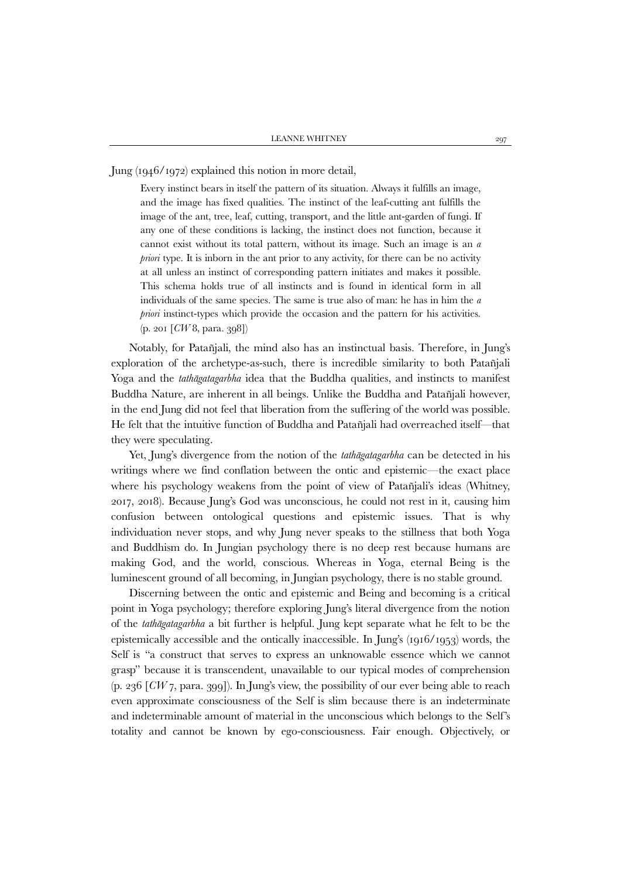Jung (1946/1972) explained this notion in more detail,

Every instinct bears in itself the pattern of its situation. Always it fulfills an image, and the image has fixed qualities. The instinct of the leaf-cutting ant fulfills the image of the ant, tree, leaf, cutting, transport, and the little ant-garden of fungi. If any one of these conditions is lacking, the instinct does not function, because it cannot exist without its total pattern, without its image. Such an image is an *a priori* type. It is inborn in the ant prior to any activity, for there can be no activity at all unless an instinct of corresponding pattern initiates and makes it possible. This schema holds true of all instincts and is found in identical form in all individuals of the same species. The same is true also of man: he has in him the *a priori* instinct-types which provide the occasion and the pattern for his activities. (p. 201 [*CW* 8, para. 398])

Notably, for Patañjali, the mind also has an instinctual basis. Therefore, in Jung's exploration of the archetype-as-such, there is incredible similarity to both Patañjali Yoga and the *tathāgatagarbha* idea that the Buddha qualities, and instincts to manifest Buddha Nature, are inherent in all beings. Unlike the Buddha and Patañjali however, in the end Jung did not feel that liberation from the suffering of the world was possible. He felt that the intuitive function of Buddha and Patañjali had overreached itself—that they were speculating.

Yet, Jung's divergence from the notion of the *tathāgatagarbha* can be detected in his writings where we find conflation between the ontic and epistemic—the exact place where his psychology weakens from the point of view of Patañjali's ideas (Whitney, 2017, 2018). Because Jung's God was unconscious, he could not rest in it, causing him confusion between ontological questions and epistemic issues. That is why individuation never stops, and why Jung never speaks to the stillness that both Yoga and Buddhism do. In Jungian psychology there is no deep rest because humans are making God, and the world, conscious. Whereas in Yoga, eternal Being is the luminescent ground of all becoming, in Jungian psychology, there is no stable ground.

Discerning between the ontic and epistemic and Being and becoming is a critical point in Yoga psychology; therefore exploring Jung's literal divergence from the notion of the *tathāgatagarbha* a bit further is helpful. Jung kept separate what he felt to be the epistemically accessible and the ontically inaccessible. In Jung's (1916/1953) words, the Self is "a construct that serves to express an unknowable essence which we cannot grasp" because it is transcendent, unavailable to our typical modes of comprehension (p. 236 [*CW* 7, para. 399]). In Jung's view, the possibility of our ever being able to reach even approximate consciousness of the Self is slim because there is an indeterminate and indeterminable amount of material in the unconscious which belongs to the Self's totality and cannot be known by ego-consciousness. Fair enough. Objectively, or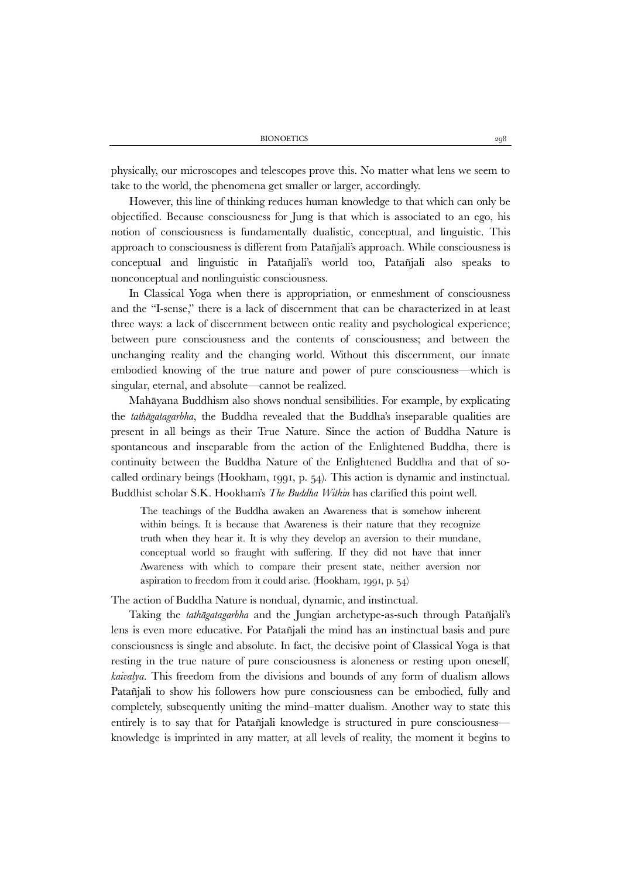physically, our microscopes and telescopes prove this. No matter what lens we seem to take to the world, the phenomena get smaller or larger, accordingly.

However, this line of thinking reduces human knowledge to that which can only be objectified. Because consciousness for Jung is that which is associated to an ego, his notion of consciousness is fundamentally dualistic, conceptual, and linguistic. This approach to consciousness is different from Patañjali's approach. While consciousness is conceptual and linguistic in Patañjali's world too, Patañjali also speaks to nonconceptual and nonlinguistic consciousness.

In Classical Yoga when there is appropriation, or enmeshment of consciousness and the "I-sense," there is a lack of discernment that can be characterized in at least three ways: a lack of discernment between ontic reality and psychological experience; between pure consciousness and the contents of consciousness; and between the unchanging reality and the changing world. Without this discernment, our innate embodied knowing of the true nature and power of pure consciousness—which is singular, eternal, and absolute—cannot be realized.

Mahāyana Buddhism also shows nondual sensibilities. For example, by explicating the *tathāgatagarbha*, the Buddha revealed that the Buddha's inseparable qualities are present in all beings as their True Nature. Since the action of Buddha Nature is spontaneous and inseparable from the action of the Enlightened Buddha, there is continuity between the Buddha Nature of the Enlightened Buddha and that of socalled ordinary beings (Hookham, 1991, p. 54). This action is dynamic and instinctual. Buddhist scholar S.K. Hookham's *The Buddha Within* has clarified this point well.

The teachings of the Buddha awaken an Awareness that is somehow inherent within beings. It is because that Awareness is their nature that they recognize truth when they hear it. It is why they develop an aversion to their mundane, conceptual world so fraught with suffering. If they did not have that inner Awareness with which to compare their present state, neither aversion nor aspiration to freedom from it could arise. (Hookham, 1991, p. 54)

The action of Buddha Nature is nondual, dynamic, and instinctual.

Taking the *tathāgatagarbha* and the Jungian archetype-as-such through Patañjali's lens is even more educative. For Patañjali the mind has an instinctual basis and pure consciousness is single and absolute. In fact, the decisive point of Classical Yoga is that resting in the true nature of pure consciousness is aloneness or resting upon oneself, *kaivalya*. This freedom from the divisions and bounds of any form of dualism allows Patañjali to show his followers how pure consciousness can be embodied, fully and completely, subsequently uniting the mind–matter dualism. Another way to state this entirely is to say that for Patañjali knowledge is structured in pure consciousness knowledge is imprinted in any matter, at all levels of reality, the moment it begins to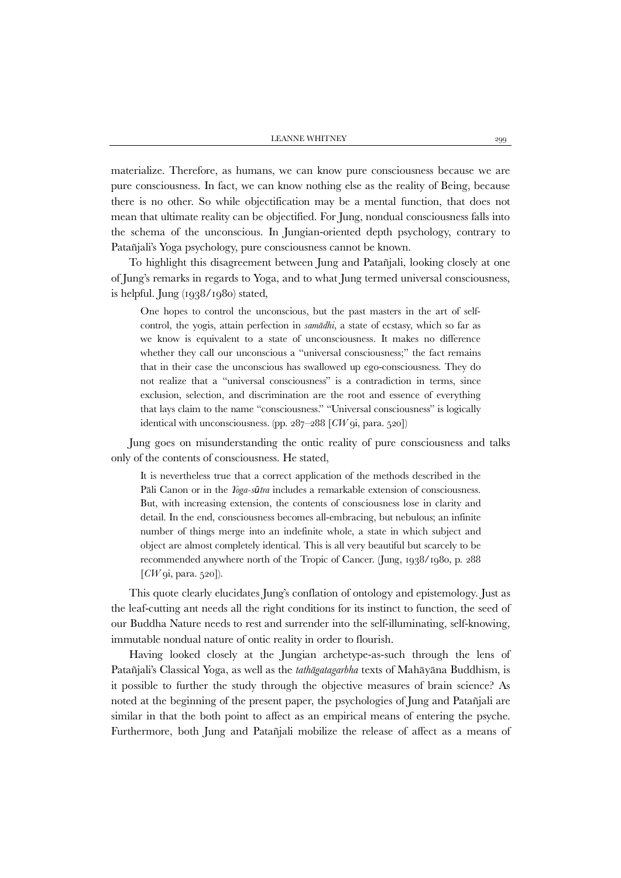materialize. Therefore, as humans, we can know pure consciousness because we are pure consciousness. In fact, we can know nothing else as the reality of Being, because there is no other. So while objectification may be a mental function, that does not mean that ultimate reality can be objectified. For Jung, nondual consciousness falls into the schema of the unconscious. In Jungian-oriented depth psychology, contrary to Patañjali's Yoga psychology, pure consciousness cannot be known.

To highlight this disagreement between Jung and Patañjali, looking closely at one of Jung's remarks in regards to Yoga, and to what Jung termed universal consciousness, is helpful. Jung (1938/1980) stated,

One hopes to control the unconscious, but the past masters in the art of selfcontrol, the yogis, attain perfection in *samādhi*, a state of ecstasy, which so far as we know is equivalent to a state of unconsciousness. It makes no difference whether they call our unconscious a "universal consciousness;" the fact remains that in their case the unconscious has swallowed up ego-consciousness. They do not realize that a "universal consciousness" is a contradiction in terms, since exclusion, selection, and discrimination are the root and essence of everything that lays claim to the name "consciousness." "Universal consciousness" is logically identical with unconsciousness. (pp. 287–288 [*CW* 9i, para. 520])

Jung goes on misunderstanding the ontic reality of pure consciousness and talks only of the contents of consciousness. He stated,

It is nevertheless true that a correct application of the methods described in the Pāli Canon or in the *Yoga-sūtra* includes a remarkable extension of consciousness. But, with increasing extension, the contents of consciousness lose in clarity and detail. In the end, consciousness becomes all-embracing, but nebulous; an infinite number of things merge into an indefinite whole, a state in which subject and object are almost completely identical. This is all very beautiful but scarcely to be recommended anywhere north of the Tropic of Cancer. (Jung, 1938/1980, p. 288 [*CW* 9i, para. 520]).

This quote clearly elucidates Jung's conflation of ontology and epistemology. Just as the leaf-cutting ant needs all the right conditions for its instinct to function, the seed of our Buddha Nature needs to rest and surrender into the self-illuminating, self-knowing, immutable nondual nature of ontic reality in order to flourish.

Having looked closely at the Jungian archetype-as-such through the lens of Patañjali's Classical Yoga, as well as the *tathāgatagarbha* texts of Mahāyāna Buddhism, is it possible to further the study through the objective measures of brain science? As noted at the beginning of the present paper, the psychologies of Jung and Patañjali are similar in that the both point to affect as an empirical means of entering the psyche. Furthermore, both Jung and Patañjali mobilize the release of affect as a means of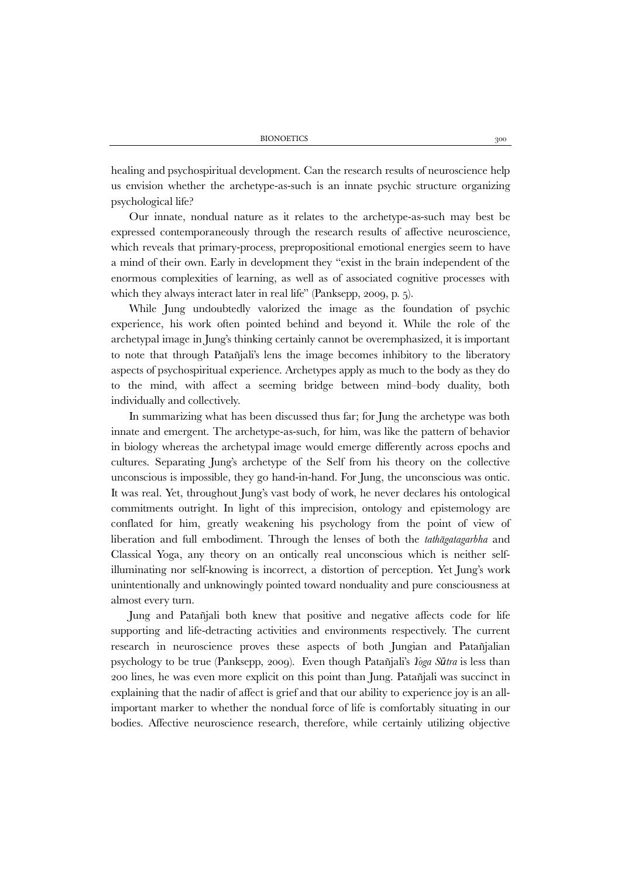healing and psychospiritual development. Can the research results of neuroscience help us envision whether the archetype-as-such is an innate psychic structure organizing psychological life?

Our innate, nondual nature as it relates to the archetype-as-such may best be expressed contemporaneously through the research results of affective neuroscience, which reveals that primary-process, prepropositional emotional energies seem to have a mind of their own. Early in development they "exist in the brain independent of the enormous complexities of learning, as well as of associated cognitive processes with which they always interact later in real life" (Panksepp, 2009, p. 5).

While Jung undoubtedly valorized the image as the foundation of psychic experience, his work often pointed behind and beyond it. While the role of the archetypal image in Jung's thinking certainly cannot be overemphasized, it is important to note that through Patañjali's lens the image becomes inhibitory to the liberatory aspects of psychospiritual experience. Archetypes apply as much to the body as they do to the mind, with affect a seeming bridge between mind–body duality, both individually and collectively.

In summarizing what has been discussed thus far; for Jung the archetype was both innate and emergent. The archetype-as-such, for him, was like the pattern of behavior in biology whereas the archetypal image would emerge differently across epochs and cultures. Separating Jung's archetype of the Self from his theory on the collective unconscious is impossible, they go hand-in-hand. For Jung, the unconscious was ontic. It was real. Yet, throughout Jung's vast body of work, he never declares his ontological commitments outright. In light of this imprecision, ontology and epistemology are conflated for him, greatly weakening his psychology from the point of view of liberation and full embodiment. Through the lenses of both the *tathāgatagarbha* and Classical Yoga, any theory on an ontically real unconscious which is neither selfilluminating nor self-knowing is incorrect, a distortion of perception. Yet Jung's work unintentionally and unknowingly pointed toward nonduality and pure consciousness at almost every turn.

Jung and Patañjali both knew that positive and negative affects code for life supporting and life-detracting activities and environments respectively. The current research in neuroscience proves these aspects of both Jungian and Patañjalian psychology to be true (Panksepp, 2009). Even though Patañjali's *Yoga Sūtra* is less than 200 lines, he was even more explicit on this point than Jung. Patañjali was succinct in explaining that the nadir of affect is grief and that our ability to experience joy is an allimportant marker to whether the nondual force of life is comfortably situating in our bodies. Affective neuroscience research, therefore, while certainly utilizing objective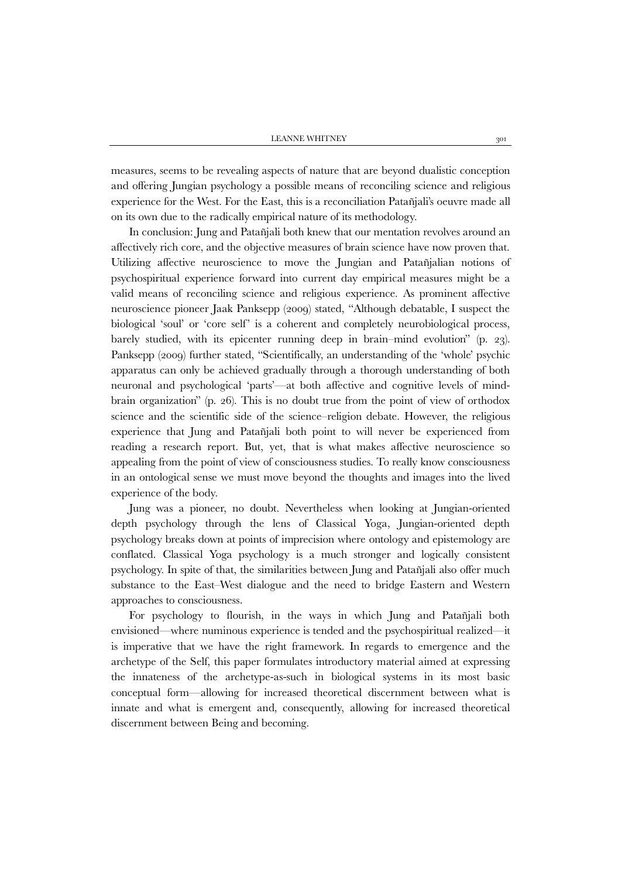measures, seems to be revealing aspects of nature that are beyond dualistic conception and offering Jungian psychology a possible means of reconciling science and religious experience for the West. For the East, this is a reconciliation Patañjali's oeuvre made all on its own due to the radically empirical nature of its methodology.

In conclusion: Jung and Patañjali both knew that our mentation revolves around an affectively rich core, and the objective measures of brain science have now proven that. Utilizing affective neuroscience to move the Jungian and Patañjalian notions of psychospiritual experience forward into current day empirical measures might be a valid means of reconciling science and religious experience. As prominent affective neuroscience pioneer Jaak Panksepp (2009) stated, "Although debatable, I suspect the biological 'soul' or 'core self' is a coherent and completely neurobiological process, barely studied, with its epicenter running deep in brain–mind evolution" (p. 23). Panksepp (2009) further stated, "Scientifically, an understanding of the 'whole' psychic apparatus can only be achieved gradually through a thorough understanding of both neuronal and psychological 'parts'—at both affective and cognitive levels of mindbrain organization" (p. 26). This is no doubt true from the point of view of orthodox science and the scientific side of the science–religion debate. However, the religious experience that Jung and Patañjali both point to will never be experienced from reading a research report. But, yet, that is what makes affective neuroscience so appealing from the point of view of consciousness studies. To really know consciousness in an ontological sense we must move beyond the thoughts and images into the lived experience of the body.

Jung was a pioneer, no doubt. Nevertheless when looking at Jungian-oriented depth psychology through the lens of Classical Yoga, Jungian-oriented depth psychology breaks down at points of imprecision where ontology and epistemology are conflated. Classical Yoga psychology is a much stronger and logically consistent psychology. In spite of that, the similarities between Jung and Patañjali also offer much substance to the East–West dialogue and the need to bridge Eastern and Western approaches to consciousness.

For psychology to flourish, in the ways in which Jung and Patañjali both envisioned—where numinous experience is tended and the psychospiritual realized—it is imperative that we have the right framework. In regards to emergence and the archetype of the Self, this paper formulates introductory material aimed at expressing the innateness of the archetype-as-such in biological systems in its most basic conceptual form—allowing for increased theoretical discernment between what is innate and what is emergent and, consequently, allowing for increased theoretical discernment between Being and becoming.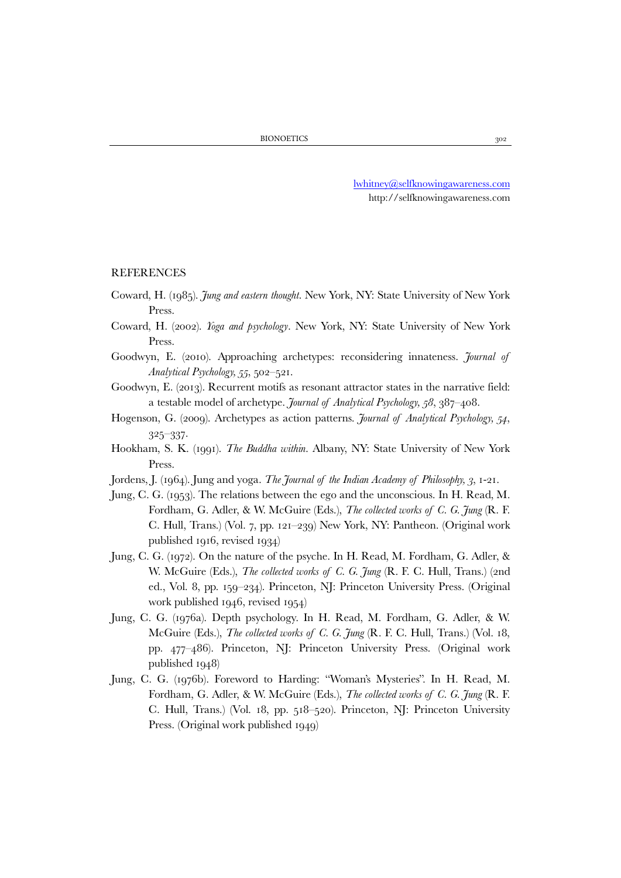[lwhitney@selfknowingawareness.com](mailto:lwhitney@selfknowingawareness.com) http://selfknowingawareness.com

## REFERENCES

- Coward, H. (1985). *Jung and eastern thought*. New York, NY: State University of New York Press.
- Coward, H. (2002). *Yoga and psychology*. New York, NY: State University of New York Press.
- Goodwyn, E. (2010). Approaching archetypes: reconsidering innateness. *Journal of Analytical Psychology, 55*, 502–521.
- Goodwyn, E. (2013). Recurrent motifs as resonant attractor states in the narrative field: a testable model of archetype. *Journal of Analytical Psychology, 58*, 387–408.
- Hogenson, G. (2009). Archetypes as action patterns. *Journal of Analytical Psychology, 54*, 325–337.
- Hookham, S. K. (1991). *The Buddha within*. Albany, NY: State University of New York Press.
- Jordens, J. (1964). Jung and yoga. *The Journal of the Indian Academy of Philosophy, 3*, 1-21.
- Jung, C. G. (1953). The relations between the ego and the unconscious. In H. Read, M. Fordham, G. Adler, & W. McGuire (Eds.), *The collected works of C. G. Jung* (R. F. C. Hull, Trans.) (Vol. 7, pp. 121–239) New York, NY: Pantheon. (Original work published 1916, revised 1934)
- Jung, C. G. (1972). On the nature of the psyche. In H. Read, M. Fordham, G. Adler, & W. McGuire (Eds.), *The collected works of C. G. Jung* (R. F. C. Hull, Trans.) (2nd ed., Vol. 8, pp. 159–234). Princeton, NJ: Princeton University Press. (Original work published 1946, revised 1954)
- Jung, C. G. (1976a). Depth psychology. In H. Read, M. Fordham, G. Adler, & W. McGuire (Eds.), *The collected works of C. G. Jung* (R. F. C. Hull, Trans.) (Vol. 18, pp. 477–486). Princeton, NJ: Princeton University Press. (Original work published 1948)
- Jung, C. G. (1976b). Foreword to Harding: "Woman's Mysteries". In H. Read, M. Fordham, G. Adler, & W. McGuire (Eds.), *The collected works of C. G. Jung* (R. F. C. Hull, Trans.) (Vol. 18, pp. 518–520). Princeton, NJ: Princeton University Press. (Original work published 1949)